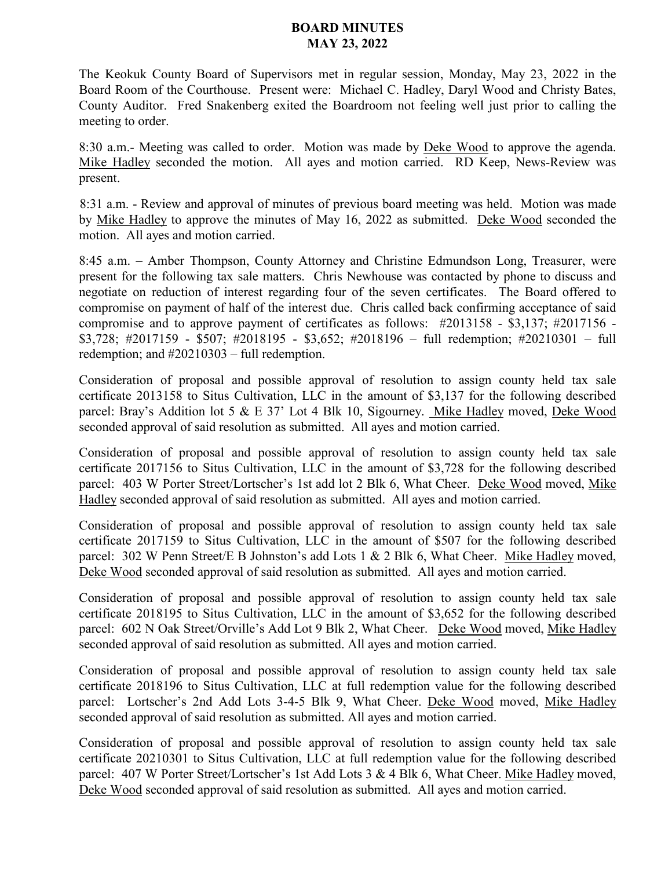## **BOARD MINUTES MAY 23, 2022**

The Keokuk County Board of Supervisors met in regular session, Monday, May 23, 2022 in the Board Room of the Courthouse. Present were: Michael C. Hadley, Daryl Wood and Christy Bates, County Auditor. Fred Snakenberg exited the Boardroom not feeling well just prior to calling the meeting to order.

8:30 a.m.- Meeting was called to order. Motion was made by **Deke Wood** to approve the agenda. Mike Hadley seconded the motion. All ayes and motion carried. RD Keep, News-Review was present.

8:31 a.m. - Review and approval of minutes of previous board meeting was held. Motion was made by Mike Hadley to approve the minutes of May 16, 2022 as submitted. Deke Wood seconded the motion. All ayes and motion carried.

8:45 a.m. – Amber Thompson, County Attorney and Christine Edmundson Long, Treasurer, were present for the following tax sale matters. Chris Newhouse was contacted by phone to discuss and negotiate on reduction of interest regarding four of the seven certificates. The Board offered to compromise on payment of half of the interest due. Chris called back confirming acceptance of said compromise and to approve payment of certificates as follows: #2013158 - \$3,137; #2017156 - \$3,728; #2017159 - \$507; #2018195 - \$3,652; #2018196 – full redemption; #20210301 – full redemption; and #20210303 – full redemption.

Consideration of proposal and possible approval of resolution to assign county held tax sale certificate 2013158 to Situs Cultivation, LLC in the amount of \$3,137 for the following described parcel: Bray's Addition lot 5 & E 37' Lot 4 Blk 10, Sigourney. Mike Hadley moved, Deke Wood seconded approval of said resolution as submitted. All ayes and motion carried.

Consideration of proposal and possible approval of resolution to assign county held tax sale certificate 2017156 to Situs Cultivation, LLC in the amount of \$3,728 for the following described parcel: 403 W Porter Street/Lortscher's 1st add lot 2 Blk 6, What Cheer. Deke Wood moved, Mike Hadley seconded approval of said resolution as submitted. All ayes and motion carried.

Consideration of proposal and possible approval of resolution to assign county held tax sale certificate 2017159 to Situs Cultivation, LLC in the amount of \$507 for the following described parcel: 302 W Penn Street/E B Johnston's add Lots 1 & 2 Blk 6, What Cheer. Mike Hadley moved, Deke Wood seconded approval of said resolution as submitted. All ayes and motion carried.

Consideration of proposal and possible approval of resolution to assign county held tax sale certificate 2018195 to Situs Cultivation, LLC in the amount of \$3,652 for the following described parcel: 602 N Oak Street/Orville's Add Lot 9 Blk 2, What Cheer. Deke Wood moved, Mike Hadley seconded approval of said resolution as submitted. All ayes and motion carried.

Consideration of proposal and possible approval of resolution to assign county held tax sale certificate 2018196 to Situs Cultivation, LLC at full redemption value for the following described parcel: Lortscher's 2nd Add Lots 3-4-5 Blk 9, What Cheer. Deke Wood moved, Mike Hadley seconded approval of said resolution as submitted. All ayes and motion carried.

Consideration of proposal and possible approval of resolution to assign county held tax sale certificate 20210301 to Situs Cultivation, LLC at full redemption value for the following described parcel: 407 W Porter Street/Lortscher's 1st Add Lots 3 & 4 Blk 6, What Cheer. Mike Hadley moved, Deke Wood seconded approval of said resolution as submitted. All ayes and motion carried.